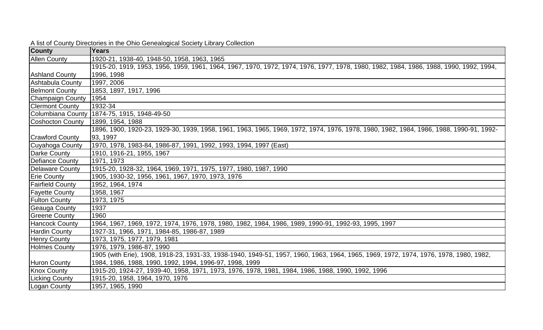| <b>County</b>           | <b>Years</b>                                                                                                                           |
|-------------------------|----------------------------------------------------------------------------------------------------------------------------------------|
| <b>Allen County</b>     | 1920-21, 1938-40, 1948-50, 1958, 1963, 1965                                                                                            |
|                         | 1915-20, 1919, 1953, 1956, 1959, 1961, 1964, 1967, 1970, 1972, 1974, 1976, 1977, 1978, 1980, 1982, 1984, 1986, 1988, 1990, 1992, 1994, |
| <b>Ashland County</b>   | 1996, 1998                                                                                                                             |
| Ashtabula County        | 1997, 2006                                                                                                                             |
| <b>Belmont County</b>   | 1853, 1897, 1917, 1996                                                                                                                 |
| <b>Champaign County</b> | 1954                                                                                                                                   |
| <b>Clermont County</b>  | 1932-34                                                                                                                                |
|                         | Columbiana County 1874-75, 1915, 1948-49-50                                                                                            |
| <b>Coshocton County</b> | 1899, 1954, 1988                                                                                                                       |
|                         | 1896, 1900, 1920-23, 1929-30, 1939, 1958, 1961, 1963, 1965, 1969, 1972, 1974, 1976, 1978, 1980, 1982, 1984, 1986, 1988, 1990-91, 1992- |
| <b>Crawford County</b>  | 93, 1997                                                                                                                               |
| Cuyahoga County         | 1970, 1978, 1983-84, 1986-87, 1991, 1992, 1993, 1994, 1997 (East)                                                                      |
| Darke County            | 1910, 1916-21, 1955, 1967                                                                                                              |
| <b>Defiance County</b>  | 1971, 1973                                                                                                                             |
| <b>Delaware County</b>  | 1915-20, 1928-32, 1964, 1969, 1971, 1975, 1977, 1980, 1987, 1990                                                                       |
| <b>Erie County</b>      | 1905, 1930-32, 1956, 1961, 1967, 1970, 1973, 1976                                                                                      |
| <b>Fairfield County</b> | 1952, 1964, 1974                                                                                                                       |
| <b>Fayette County</b>   | 1958, 1967                                                                                                                             |
| <b>Fulton County</b>    | 1973, 1975                                                                                                                             |
| Geauga County           | 1937                                                                                                                                   |
| <b>Greene County</b>    | 1960                                                                                                                                   |
| <b>Hancock County</b>   | 1964, 1967, 1969, 1972, 1974, 1976, 1978, 1980, 1982, 1984, 1986, 1989, 1990-91, 1992-93, 1995, 1997                                   |
| <b>Hardin County</b>    | 1927-31, 1966, 1971, 1984-85, 1986-87, 1989                                                                                            |
| Henry County            | 1973, 1975, 1977, 1979, 1981                                                                                                           |
| <b>Holmes County</b>    | 1976, 1979, 1986-87, 1990                                                                                                              |
|                         | 1905 (with Erie), 1908, 1918-23, 1931-33, 1938-1940, 1949-51, 1957, 1960, 1963, 1964, 1965, 1969, 1972, 1974, 1976, 1978, 1980, 1982,  |
| <b>Huron County</b>     | 1984, 1986, 1988, 1990, 1992, 1994, 1996-97, 1998, 1999                                                                                |
| <b>Knox County</b>      | 1915-20, 1924-27, 1939-40, 1958, 1971, 1973, 1976, 1978, 1981, 1984, 1986, 1988, 1990, 1992, 1996                                      |
| Licking County          | 1915-20, 1958, 1964, 1970, 1976                                                                                                        |
| Logan County            | 1957, 1965, 1990                                                                                                                       |